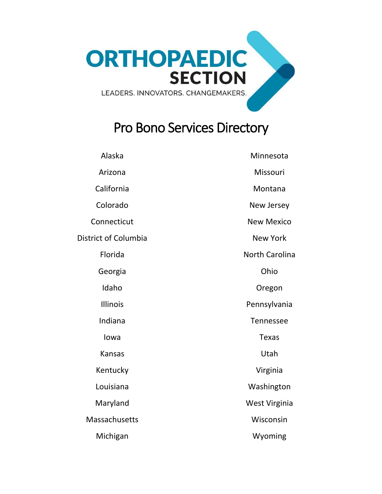<span id="page-0-0"></span>

# Pro Bono Services Directory

| Alaska                      | Minnesota         |
|-----------------------------|-------------------|
| Arizona                     | Missouri          |
| California                  | Montana           |
| Colorado                    | New Jersey        |
| Connecticut                 | <b>New Mexico</b> |
| <b>District of Columbia</b> | <b>New York</b>   |
| Florida                     | North Carolina    |
| Georgia                     | Ohio              |
| Idaho                       | Oregon            |
| Illinois                    | Pennsylvania      |
| Indiana                     | Tennessee         |
| lowa                        | <b>Texas</b>      |
| <b>Kansas</b>               | Utah              |
| Kentucky                    | Virginia          |
| Louisiana                   | Washington        |
| Maryland                    | West Virginia     |
| Massachusetts               | Wisconsin         |
| Michigan                    | Wyoming           |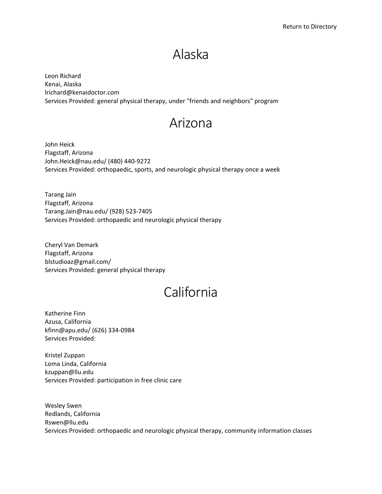# Alaska

<span id="page-1-0"></span>Leon Richard Kenai, Alaska lrichard@kenaidoctor.com Services Provided: general physical therapy, under "friends and neighbors" program

#### Arizona

John Heick Flagstaff, Arizona John.Heick@nau.edu/ (480) 440-9272 Services Provided: orthopaedic, sports, and neurologic physical therapy once a week

Tarang Jain Flagstaff, Arizona Tarang.Jain@nau.edu/ (928) 523-7405 Services Provided: orthopaedic and neurologic physical therapy

Cheryl Van Demark Flagstaff, Arizona blstudioaz@gmail.com/ Services Provided: general physical therapy

# California

Katherine Finn Azusa, California kfinn@apu.edu/ (626) 334-0984 Services Provided:

Kristel Zuppan Loma Linda, California kzuppan@llu.edu Services Provided: participation in free clinic care

Wesley Swen Redlands, California Rswen@llu.edu Services Provided: orthopaedic and neurologic physical therapy, community information classes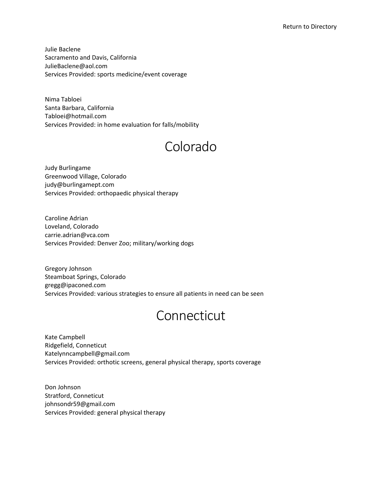<span id="page-2-0"></span>Julie Baclene Sacramento and Davis, California JulieBaclene@aol.com Services Provided: sports medicine/event coverage

Nima Tabloei Santa Barbara, California Tabloei@hotmail.com Services Provided: in home evaluation for falls/mobility

# Colorado

Judy Burlingame Greenwood Village, Colorado judy@burlingamept.com Services Provided: orthopaedic physical therapy

Caroline Adrian Loveland, Colorado carrie.adrian@vca.com Services Provided: Denver Zoo; military/working dogs

Gregory Johnson Steamboat Springs, Colorado gregg@ipaconed.com Services Provided: various strategies to ensure all patients in need can be seen

# Connecticut

Kate Campbell Ridgefield, Conneticut Katelynncampbell@gmail.com Services Provided: orthotic screens, general physical therapy, sports coverage

Don Johnson Stratford, Conneticut johnsondr59@gmail.com Services Provided: general physical therapy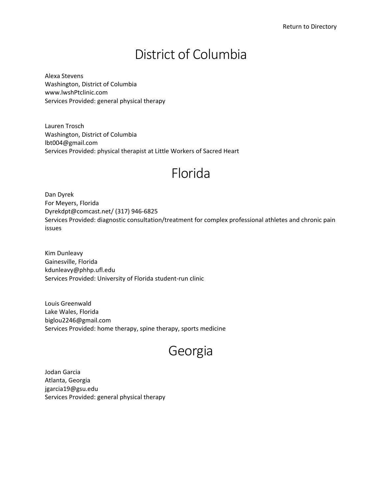# District of Columbia

<span id="page-3-0"></span>Alexa Stevens Washington, District of Columbia www.lwshPtclinic.com Services Provided: general physical therapy

Lauren Trosch Washington, District of Columbia lbt004@gmail.com Services Provided: physical therapist at Little Workers of Sacred Heart

#### Florida

Dan Dyrek For Meyers, Florida Dyrekdpt@comcast.net/ (317) 946-6825 Services Provided: diagnostic consultation/treatment for complex professional athletes and chronic pain issues

Kim Dunleavy Gainesville, Florida kdunleavy@phhp.ufl.edu Services Provided: University of Florida student-run clinic

Louis Greenwald Lake Wales, Florida biglou2246@gmail.com Services Provided: home therapy, spine therapy, sports medicine

# Georgia

Jodan Garcia Atlanta, Georgia jgarcia19@gsu.edu Services Provided: general physical therapy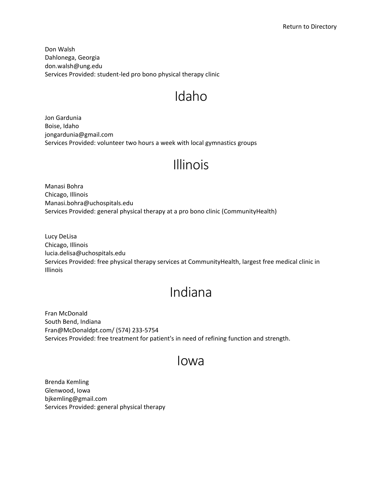<span id="page-4-0"></span>Don Walsh Dahlonega, Georgia don.walsh@ung.edu Services Provided: student-led pro bono physical therapy clinic

# Idaho

Jon Gardunia Boise, Idaho jongardunia@gmail.com Services Provided: volunteer two hours a week with local gymnastics groups

# Illinois

Manasi Bohra Chicago, Illinois Manasi.bohra@uchospitals.edu Services Provided: general physical therapy at a pro bono clinic (CommunityHealth)

Lucy DeLisa Chicago, Illinois lucia.delisa@uchospitals.edu Services Provided: free physical therapy services at CommunityHealth, largest free medical clinic in Illinois

# Indiana

Fran McDonald South Bend, Indiana Fran@McDonaldpt.com/ (574) 233-5754 Services Provided: free treatment for patient's in need of refining function and strength.

#### Iowa

Brenda Kemling Glenwood, Iowa bjkemling@gmail.com Services Provided: general physical therapy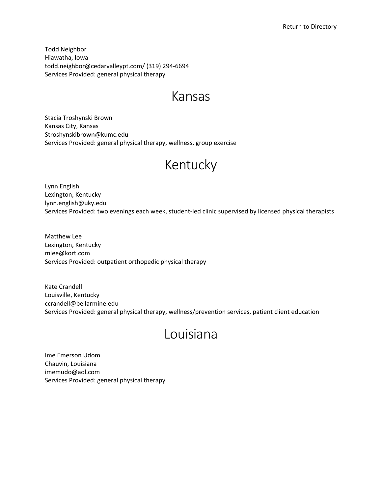<span id="page-5-0"></span>Todd Neighbor Hiawatha, Iowa todd.neighbor@cedarvalleypt.com/ (319) 294-6694 Services Provided: general physical therapy

#### Kansas

Stacia Troshynski Brown Kansas City, Kansas Stroshynskibrown@kumc.edu Services Provided: general physical therapy, wellness, group exercise

# Kentucky

Lynn English Lexington, Kentucky lynn.english@uky.edu Services Provided: two evenings each week, student-led clinic supervised by licensed physical therapists

Matthew Lee Lexington, Kentucky mlee@kort.com Services Provided: outpatient orthopedic physical therapy

Kate Crandell Louisville, Kentucky ccrandell@bellarmine.edu Services Provided: general physical therapy, wellness/prevention services, patient client education

# Louisiana

Ime Emerson Udom Chauvin, Louisiana imemudo@aol.com Services Provided: general physical therapy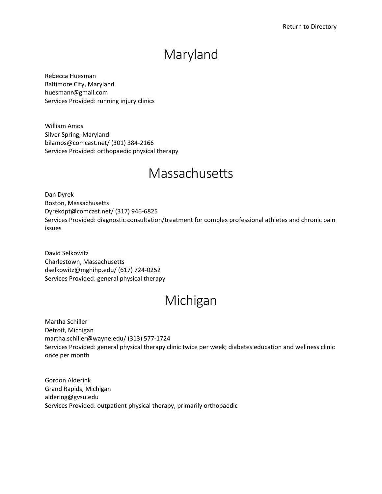### Maryland

<span id="page-6-0"></span>Rebecca Huesman Baltimore City, Maryland huesmanr@gmail.com Services Provided: running injury clinics

William Amos Silver Spring, Maryland bilamos@comcast.net/ (301) 384-2166 Services Provided: orthopaedic physical therapy

# **Massachusetts**

Dan Dyrek Boston, Massachusetts Dyrekdpt@comcast.net/ (317) 946-6825 Services Provided: diagnostic consultation/treatment for complex professional athletes and chronic pain issues

David Selkowitz Charlestown, Massachusetts dselkowitz@mghihp.edu/ (617) 724-0252 Services Provided: general physical therapy

### Michigan

Martha Schiller Detroit, Michigan martha.schiller@wayne.edu/ (313) 577-1724 Services Provided: general physical therapy clinic twice per week; diabetes education and wellness clinic once per month

Gordon Alderink Grand Rapids, Michigan aldering@gvsu.edu Services Provided: outpatient physical therapy, primarily orthopaedic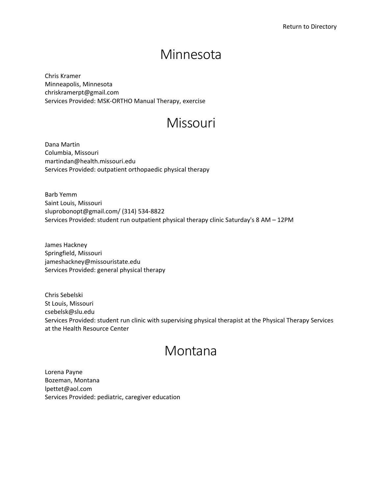#### Minnesota

<span id="page-7-0"></span>Chris Kramer Minneapolis, Minnesota chriskramerpt@gmail.com Services Provided: MSK-ORTHO Manual Therapy, exercise

### Missouri

Dana Martin Columbia, Missouri martindan@health.missouri.edu Services Provided: outpatient orthopaedic physical therapy

Barb Yemm Saint Louis, Missouri sluprobonopt@gmail.com/ (314) 534-8822 Services Provided: student run outpatient physical therapy clinic Saturday's 8 AM – 12PM

James Hackney Springfield, Missouri jameshackney@missouristate.edu Services Provided: general physical therapy

Chris Sebelski St Louis, Missouri csebelsk@slu.edu Services Provided: student run clinic with supervising physical therapist at the Physical Therapy Services at the Health Resource Center

#### Montana

Lorena Payne Bozeman, Montana lpettet@aol.com Services Provided: pediatric, caregiver education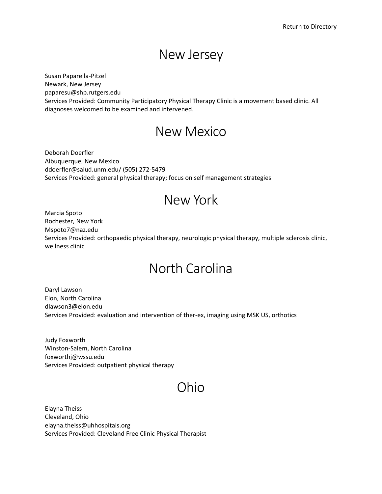#### New Jersey

<span id="page-8-0"></span>Susan Paparella-Pitzel Newark, New Jersey paparesu@shp.rutgers.edu Services Provided: Community Participatory Physical Therapy Clinic is a movement based clinic. All diagnoses welcomed to be examined and intervened.

#### New Mexico

Deborah Doerfler Albuquerque, New Mexico ddoerfler@salud.unm.edu/ (505) 272-5479 Services Provided: general physical therapy; focus on self management strategies

# New York

Marcia Spoto Rochester, New York Mspoto7@naz.edu Services Provided: orthopaedic physical therapy, neurologic physical therapy, multiple sclerosis clinic, wellness clinic

# North Carolina

Daryl Lawson Elon, North Carolina dlawson3@elon.edu Services Provided: evaluation and intervention of ther-ex, imaging using MSK US, orthotics

Judy Foxworth Winston-Salem, North Carolina foxworthj@wssu.edu Services Provided: outpatient physical therapy

# Ohio

Elayna Theiss Cleveland, Ohio elayna.theiss@uhhospitals.org Services Provided: Cleveland Free Clinic Physical Therapist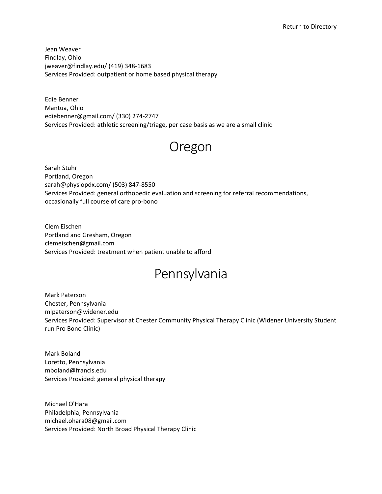<span id="page-9-0"></span>Jean Weaver Findlay, Ohio jweaver@findlay.edu/ (419) 348-1683 Services Provided: outpatient or home based physical therapy

Edie Benner Mantua, Ohio ediebenner@gmail.com/ (330) 274-2747 Services Provided: athletic screening/triage, per case basis as we are a small clinic

#### Oregon

Sarah Stuhr Portland, Oregon sarah@physiopdx.com/ (503) 847-8550 Services Provided: general orthopedic evaluation and screening for referral recommendations, occasionally full course of care pro-bono

Clem Eischen Portland and Gresham, Oregon clemeischen@gmail.com Services Provided: treatment when patient unable to afford

### Pennsylvania

Mark Paterson Chester, Pennsylvania mlpaterson@widener.edu Services Provided: Supervisor at Chester Community Physical Therapy Clinic (Widener University Student run Pro Bono Clinic)

Mark Boland Loretto, Pennsylvania mboland@francis.edu Services Provided: general physical therapy

Michael O'Hara Philadelphia, Pennsylvania michael.ohara08@gmail.com Services Provided: North Broad Physical Therapy Clinic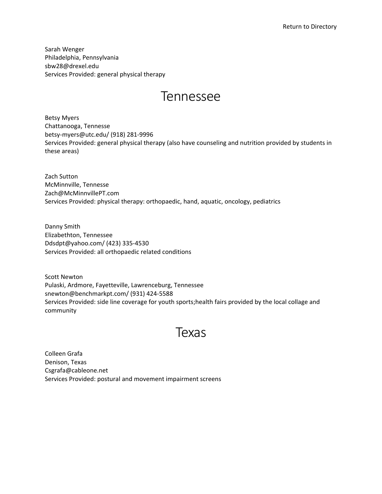<span id="page-10-0"></span>Sarah Wenger Philadelphia, Pennsylvania sbw28@drexel.edu Services Provided: general physical therapy

#### Tennessee

Betsy Myers Chattanooga, Tennesse betsy-myers@utc.edu/ (918) 281-9996 Services Provided: general physical therapy (also have counseling and nutrition provided by students in these areas)

Zach Sutton McMinnville, Tennesse Zach@McMinnvillePT.com Services Provided: physical therapy: orthopaedic, hand, aquatic, oncology, pediatrics

Danny Smith Elizabethton, Tennessee Ddsdpt@yahoo.com/ (423) 335-4530 Services Provided: all orthopaedic related conditions

Scott Newton Pulaski, Ardmore, Fayetteville, Lawrenceburg, Tennessee snewton@benchmarkpt.com/ (931) 424-5588 Services Provided: side line coverage for youth sports;health fairs provided by the local collage and community

#### Texas

Colleen Grafa Denison, Texas Csgrafa@cableone.net Services Provided: postural and movement impairment screens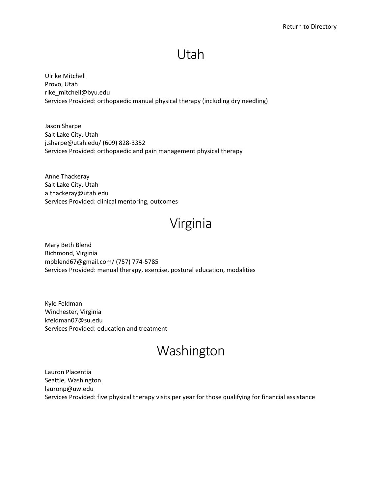#### Utah

<span id="page-11-0"></span>Ulrike Mitchell Provo, Utah rike\_mitchell@byu.edu Services Provided: orthopaedic manual physical therapy (including dry needling)

Jason Sharpe Salt Lake City, Utah j.sharpe@utah.edu/ (609) 828-3352 Services Provided: orthopaedic and pain management physical therapy

Anne Thackeray Salt Lake City, Utah a.thackeray@utah.edu Services Provided: clinical mentoring, outcomes

# Virginia

Mary Beth Blend Richmond, Virginia mbblend67@gmail.com/ (757) 774-5785 Services Provided: manual therapy, exercise, postural education, modalities

Kyle Feldman Winchester, Virginia kfeldman07@su.edu Services Provided: education and treatment

# Washington

Lauron Placentia Seattle, Washington lauronp@uw.edu Services Provided: five physical therapy visits per year for those qualifying for financial assistance